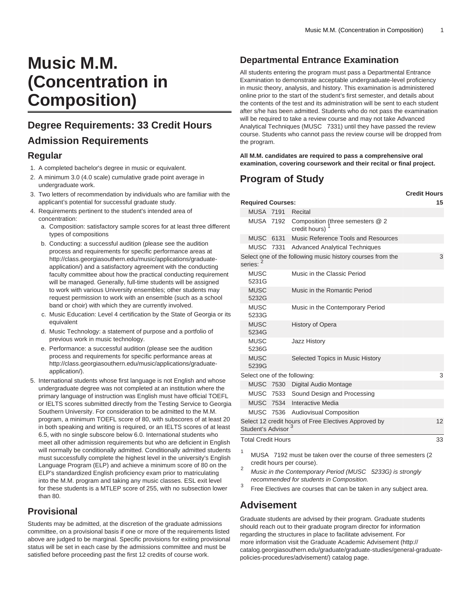# **Music M.M. (Concentration in Composition)**

## **Degree Requirements: 33 Credit Hours**

#### **Admission Requirements**

#### **Regular**

- 1. A completed bachelor's degree in music or equivalent.
- 2. A minimum 3.0 (4.0 scale) cumulative grade point average in undergraduate work.
- 3. Two letters of recommendation by individuals who are familiar with the applicant's potential for successful graduate study.
- 4. Requirements pertinent to the student's intended area of concentration:
	- a. Composition: satisfactory sample scores for at least three different types of compositions
	- b. Conducting: a successful audition (please see the audition process and requirements for specific performance areas at [http://class.georgiasouthern.edu/music/applications/graduate](http://class.georgiasouthern.edu/music/applications/graduate-application/)[application/](http://class.georgiasouthern.edu/music/applications/graduate-application/)) and a satisfactory agreement with the conducting faculty committee about how the practical conducting requirement will be managed. Generally, full-time students will be assigned to work with various University ensembles; other students may request permission to work with an ensemble (such as a school band or choir) with which they are currently involved.
	- c. Music Education: Level 4 certification by the State of Georgia or its equivalent
	- d. Music Technology: a statement of purpose and a portfolio of previous work in music technology.
	- e. Performance: a successful audition (please see the audition process and requirements for specific performance areas at [http://class.georgiasouthern.edu/music/applications/graduate](http://class.georgiasouthern.edu/music/applications/graduate-application/)[application/](http://class.georgiasouthern.edu/music/applications/graduate-application/)).
- 5. International students whose first language is not English and whose undergraduate degree was not completed at an institution where the primary language of instruction was English must have official TOEFL or IELTS scores submitted directly from the Testing Service to Georgia Southern University. For consideration to be admitted to the M.M. program, a minimum TOEFL score of 80, with subscores of at least 20 in both speaking and writing is required, or an IELTS scores of at least 6.5, with no single subscore below 6.0. International students who meet all other admission requirements but who are deficient in English will normally be conditionally admitted. Conditionally admitted students must successfully complete the highest level in the university's English Language Program (ELP) and achieve a minimum score of 80 on the ELP's standardized English proficiency exam prior to matriculating into the M.M. program and taking any music classes. ESL exit level for these students is a MTLEP score of 255, with no subsection lower than 80.

#### **Provisional**

Students may be admitted, at the discretion of the graduate admissions committee, on a provisional basis if one or more of the requirements listed above are judged to be marginal. Specific provisions for exiting provisional status will be set in each case by the admissions committee and must be satisfied before proceeding past the first 12 credits of course work.

#### **Departmental Entrance Examination**

All students entering the program must pass a Departmental Entrance Examination to demonstrate acceptable undergraduate-level proficiency in music theory, analysis, and history. This examination is administered online prior to the start of the student's first semester, and details about the contents of the test and its administration will be sent to each student after s/he has been admitted. Students who do not pass the examination will be required to take a review course and may not take Advanced Analytical Techniques (MUSC 7331) until they have passed the review course. Students who cannot pass the review course will be dropped from the program.

**All M.M. candidates are required to pass a comprehensive oral examination, covering coursework and their recital or final project.**

### **Program of Study**

|                                                                           |  |                                                            | <b>Credit Hours</b> |
|---------------------------------------------------------------------------|--|------------------------------------------------------------|---------------------|
| <b>Required Courses:</b>                                                  |  |                                                            | 15                  |
| <b>MUSA 7191</b>                                                          |  | Recital                                                    |                     |
| MUSA 7192                                                                 |  | Composition (three semesters @ 2<br>credit hours)          |                     |
| <b>MUSC 6131</b>                                                          |  | Music Reference Tools and Resources                        |                     |
|                                                                           |  | MUSC 7331 Advanced Analytical Techniques                   |                     |
| series: <sup>2</sup>                                                      |  | Select one of the following music history courses from the | 3                   |
| <b>MUSC</b><br>5231G                                                      |  | Music in the Classic Period                                |                     |
| <b>MUSC</b><br>5232G                                                      |  | Music in the Romantic Period                               |                     |
| <b>MUSC</b><br>5233G                                                      |  | Music in the Contemporary Period                           |                     |
| <b>MUSC</b><br>5234G                                                      |  | History of Opera                                           |                     |
| <b>MUSC</b><br>5236G                                                      |  | Jazz History                                               |                     |
| <b>MUSC</b><br>5239G                                                      |  | Selected Topics in Music History                           |                     |
| Select one of the following:                                              |  |                                                            | 3                   |
|                                                                           |  | MUSC 7530 Digital Audio Montage                            |                     |
| <b>MUSC 7533</b>                                                          |  | Sound Design and Processing                                |                     |
|                                                                           |  | MUSC 7534 Interactive Media                                |                     |
|                                                                           |  | MUSC 7536 Audiovisual Composition                          |                     |
| Select 12 credit hours of Free Electives Approved by<br>Student's Advisor |  |                                                            | 12                  |
| <b>Total Credit Hours</b>                                                 |  |                                                            | 33                  |

<sup>1</sup> MUSA 7192 must be taken over the course of three semesters (2 credit hours per course).

- <sup>2</sup> Music in the Contemporary Period (MUSC 5233G) is strongly recommended for students in Composition.
- 3 Free Electives are courses that can be taken in any subject area.

#### **Advisement**

Graduate students are advised by their program. Graduate students should reach out to their graduate program director for information regarding the structures in place to facilitate advisement. For more information visit the [Graduate Academic Advisement](http://catalog.georgiasouthern.edu/graduate/graduate-studies/general-graduate-policies-procedures/advisement/) ([http://](http://catalog.georgiasouthern.edu/graduate/graduate-studies/general-graduate-policies-procedures/advisement/) [catalog.georgiasouthern.edu/graduate/graduate-studies/general-graduate](http://catalog.georgiasouthern.edu/graduate/graduate-studies/general-graduate-policies-procedures/advisement/)[policies-procedures/advisement/](http://catalog.georgiasouthern.edu/graduate/graduate-studies/general-graduate-policies-procedures/advisement/)) catalog page.